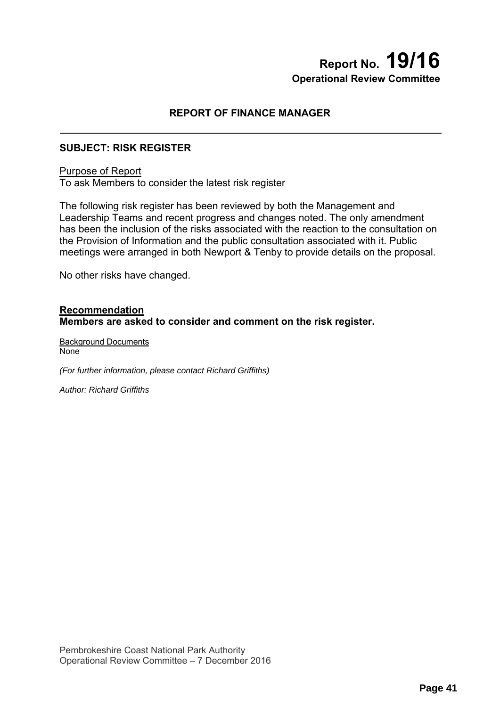# **Report No. 19/16 Operational Review Committee**

# **REPORT OF FINANCE MANAGER**

## **SUBJECT: RISK REGISTER**

### Purpose of Report

To ask Members to consider the latest risk register

The following risk register has been reviewed by both the Management and Leadership Teams and recent progress and changes noted. The only amendment has been the inclusion of the risks associated with the reaction to the consultation on the Provision of Information and the public consultation associated with it. Public meetings were arranged in both Newport & Tenby to provide details on the proposal.

No other risks have changed.

### **Recommendation Members are asked to consider and comment on the risk register.**

Background Documents None

*(For further information, please contact Richard Griffiths)* 

*Author: Richard Griffiths*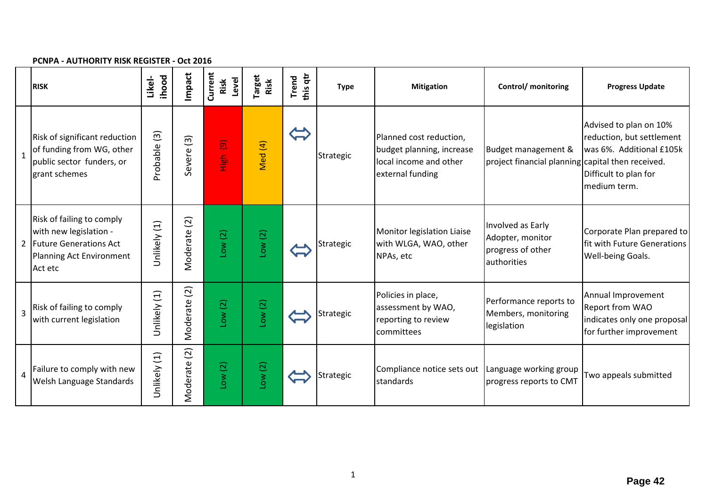#### **PCNPA ‐ AUTHORITY RISK REGISTER ‐ Oct 2016**

|              | <b>RISK</b>                                                                                                            | ihood<br>Likel-         | Impact                      | Current<br>Level<br>Risk       | arget<br>Risk | this qtr<br>Trend        | <b>Type</b> | <b>Mitigation</b>                                                                                  | <b>Control/</b> monitoring                                                | <b>Progress Update</b>                                                                                                   |
|--------------|------------------------------------------------------------------------------------------------------------------------|-------------------------|-----------------------------|--------------------------------|---------------|--------------------------|-------------|----------------------------------------------------------------------------------------------------|---------------------------------------------------------------------------|--------------------------------------------------------------------------------------------------------------------------|
| $\mathbf{1}$ | Risk of significant reduction<br>of funding from WG, other<br>public sector funders, or<br>grant schemes               | $\boxed{3}$<br>Probable | $\boxed{3}$<br>evere<br>Ō   | $\widehat{\mathbf{e}}$<br>High | Med (4)       | $\overline{\phantom{a}}$ | Strategic   | Planned cost reduction,<br>budget planning, increase<br>local income and other<br>external funding | Budget management &<br>project financial planning capital then received.  | Advised to plan on 10%<br>reduction, but settlement<br>was 6%. Additional £105k<br>Difficult to plan for<br>medium term. |
|              | Risk of failing to comply<br>with new legislation -<br>2 Future Generations Act<br>Planning Act Environment<br>Act etc | Unlikely (1)            | Moderate (2)                | Low(2)                         | Low(2)        |                          | Strategic   | Monitor legislation Liaise<br>with WLGA, WAO, other<br>NPAs, etc                                   | Involved as Early<br>Adopter, monitor<br>progress of other<br>authorities | Corporate Plan prepared to<br>fit with Future Generations<br>Well-being Goals.                                           |
| 3            | Risk of failing to comply<br>with current legislation                                                                  | Unlikely (1)            | $\widetilde{c}$<br>Moderate | Low(2)                         | Low(2)        |                          | Strategic   | Policies in place,<br>assessment by WAO,<br>reporting to review<br>committees                      | Performance reports to<br>Members, monitoring<br>legislation              | Annual Improvement<br>Report from WAO<br>indicates only one proposal<br>for further improvement                          |
| 4            | Failure to comply with new<br>Welsh Language Standards                                                                 | Unlikely (1)            | $\boxed{2}$<br>Moderate     | Low(2)                         | Low(2)        |                          | Strategic   | Compliance notice sets out   Language working group<br>standards                                   | progress reports to CMT                                                   | Two appeals submitted                                                                                                    |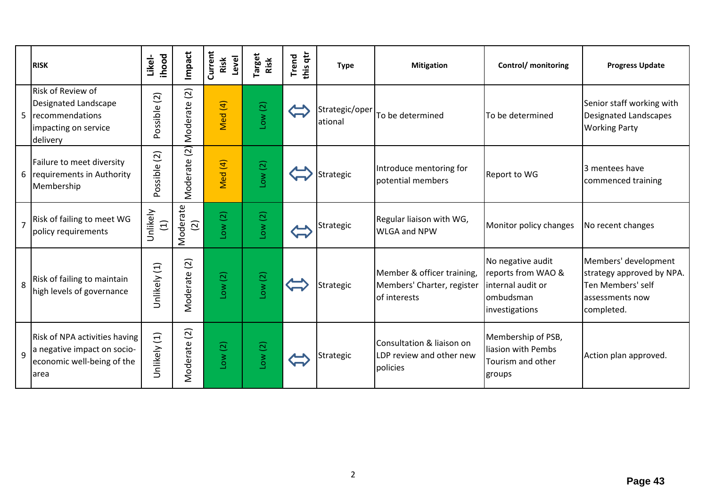|                | <b>RISK</b>                                                                                         | <b>ihood</b><br>Likel-  | Impact                     | Current<br>Level<br>Risk     | <b>Target</b><br>Risk | this qtr<br><b>Trend</b> | <b>Type</b>               | <b>Mitigation</b>                                                        | Control/ monitoring                                                                          | <b>Progress Update</b>                                                                                  |
|----------------|-----------------------------------------------------------------------------------------------------|-------------------------|----------------------------|------------------------------|-----------------------|--------------------------|---------------------------|--------------------------------------------------------------------------|----------------------------------------------------------------------------------------------|---------------------------------------------------------------------------------------------------------|
| 5              | Risk of Review of<br>Designated Landscape<br>recommendations<br>impacting on service<br>delivery    | (2)<br>Possible         | $\boxed{2}$<br>Moderate    | Med (4)                      | Low(2)                |                          | Strategic/oper<br>ational | To be determined                                                         | To be determined                                                                             | Senior staff working with<br><b>Designated Landscapes</b><br><b>Working Party</b>                       |
| 6              | Failure to meet diversity<br>requirements in Authority<br>Membership                                | $\boxed{2}$<br>Possible | $\overline{a}$<br>Moderate | Med (4)                      | Low(2)                |                          | Strategic                 | Introduce mentoring for<br>potential members                             | Report to WG                                                                                 | 3 mentees have<br>commenced training                                                                    |
| $\overline{7}$ | Risk of failing to meet WG<br>policy requirements                                                   | Unlikely<br>$\Xi$       | Moderate<br>$\overline{2}$ | Low(2)                       | Low(2)                |                          | Strategic                 | Regular liaison with WG,<br><b>WLGA and NPW</b>                          | Monitor policy changes                                                                       | No recent changes                                                                                       |
| 8              | Risk of failing to maintain<br>high levels of governance                                            | Unlikely (1)            | $\boxed{2}$<br>Moderate    | Low(2)                       | Low(2)                |                          | Strategic                 | Member & officer training,<br>Members' Charter, register<br>of interests | No negative audit<br>reports from WAO &<br>linternal audit or<br>ombudsman<br>investigations | Members' development<br>strategy approved by NPA.<br>Ten Members' self<br>assessments now<br>completed. |
| $\mathsf{q}$   | Risk of NPA activities having<br>a negative impact on socio-<br>economic well-being of the<br>larea | Unlikely (1)            | Moderate (2)               | $\overline{c}$<br><b>NOT</b> | Low(2)                |                          | Strategic                 | Consultation & liaison on<br>LDP review and other new<br>policies        | Membership of PSB,<br>liasion with Pembs<br>Tourism and other<br>groups                      | Action plan approved.                                                                                   |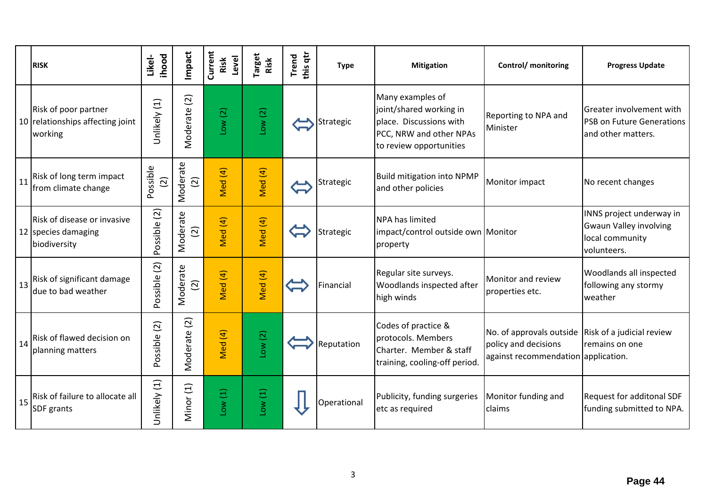|    | <b>RISK</b>                                                         | ihood<br>Likel-         | Impact                               | Current<br>Level<br>Risk | <b>Target</b><br>Risk | this qtr<br>Trend | <b>Type</b> | <b>Mitigation</b>                                                                                                            | Control/ monitoring                                                                                                       | <b>Progress Update</b>                                                                      |
|----|---------------------------------------------------------------------|-------------------------|--------------------------------------|--------------------------|-----------------------|-------------------|-------------|------------------------------------------------------------------------------------------------------------------------------|---------------------------------------------------------------------------------------------------------------------------|---------------------------------------------------------------------------------------------|
|    | Risk of poor partner<br>10 relationships affecting joint<br>working | Unlikely (1)            | $\widetilde{\Omega}$<br>Moderate     | Low(2)                   | Low(2)                |                   | Strategic   | Many examples of<br>joint/shared working in<br>place. Discussions with<br>PCC, NRW and other NPAs<br>to review opportunities | Reporting to NPA and<br>Minister                                                                                          | Greater involvement with<br><b>PSB on Future Generations</b><br>and other matters.          |
| 11 | Risk of long term impact<br>from climate change                     | Possible<br>$\boxed{2}$ | Moderate<br>$\widehat{c}$            | Med (4)                  | Med (4)               |                   | Strategic   | <b>Build mitigation into NPMP</b><br>and other policies                                                                      | Monitor impact                                                                                                            | No recent changes                                                                           |
|    | Risk of disease or invasive<br>12 species damaging<br>biodiversity  | Possible (2)            | Moderate<br>$\widetilde{2}$          | Med (4)                  | Med (4)               |                   | Strategic   | <b>NPA has limited</b><br>impact/control outside own Monitor<br>property                                                     |                                                                                                                           | INNS project underway in<br><b>Gwaun Valley involving</b><br>local community<br>volunteers. |
| 13 | Risk of significant damage<br>due to bad weather                    | Possible (2)            | Moderate<br>$\widehat{(\mathbf{2})}$ | Med (4)                  | Med (4)               |                   | Financial   | Regular site surveys.<br>Woodlands inspected after<br>high winds                                                             | Monitor and review<br>properties etc.                                                                                     | Woodlands all inspected<br>following any stormy<br>weather                                  |
| 14 | Risk of flawed decision on<br>planning matters                      | Possible (2)            | Moderate (2)                         | Med (4)                  | Low(2)                |                   | Reputation  | Codes of practice &<br>protocols. Members<br>Charter. Member & staff<br>training, cooling-off period                         | No. of approvals outside $\vert$ Risk of a judicial review<br>policy and decisions<br>against recommendation application. | remains on one                                                                              |
| 15 | Risk of failure to allocate all<br><b>SDF</b> grants                | Unlikely (1)            | Minor (1)                            | Low(1)                   | Low(1)                |                   | Operational | Publicity, funding surgeries<br>etc as required                                                                              | Monitor funding and<br>claims                                                                                             | Request for additonal SDF<br>funding submitted to NPA.                                      |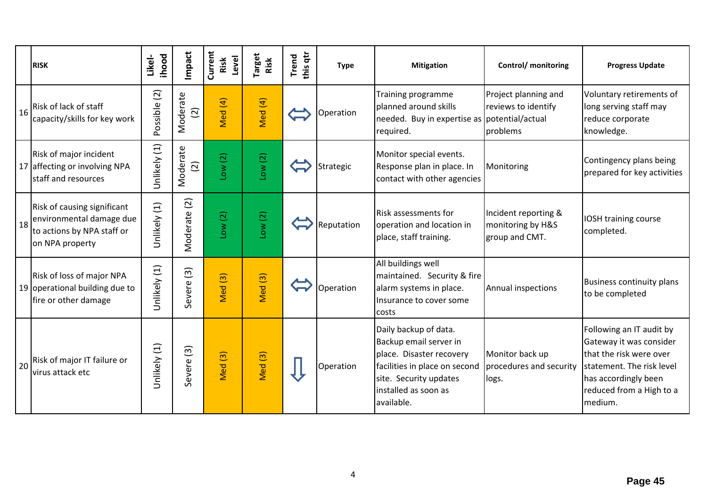|    | <b>RISK</b>                                                                                              | <b>ihood</b><br>Likel- | Impact                     | Current<br>Level<br>Risk | arget<br>Risk      | this qtr<br><b>Trend</b> | <b>Type</b> | <b>Mitigation</b>                                                                                                                                                            | Control/ monitoring                                         | <b>Progress Update</b>                                                                                                                                                     |
|----|----------------------------------------------------------------------------------------------------------|------------------------|----------------------------|--------------------------|--------------------|--------------------------|-------------|------------------------------------------------------------------------------------------------------------------------------------------------------------------------------|-------------------------------------------------------------|----------------------------------------------------------------------------------------------------------------------------------------------------------------------------|
| 16 | Risk of lack of staff<br>capacity/skills for key work                                                    | Possible (2)           | Moderate<br>$\overline{2}$ | Med (4)                  | Med (4)            |                          | Operation   | Training programme<br>planned around skills<br>needed. Buy in expertise as potential/actual<br>required.                                                                     | Project planning and<br>reviews to identify<br>problems     | Voluntary retirements of<br>long serving staff may<br>reduce corporate<br>knowledge.                                                                                       |
|    | Risk of major incident<br>17 affecting or involving NPA<br>staff and resources                           | Unlikely (1)           | Moderate<br>$\overline{2}$ | Low(2)                   | Low(2)             |                          | Strategic   | Monitor special events.<br>Response plan in place. In<br>contact with other agencies                                                                                         | Monitoring                                                  | Contingency plans being<br>prepared for key activities                                                                                                                     |
| 18 | Risk of causing significant<br>environmental damage due<br>to actions by NPA staff or<br>on NPA property | Unlikely (1)           | Moderate (2)               | Low(2)                   | Low(2)             |                          | Reputation  | <b>Risk assessments for</b><br>operation and location in<br>place, staff training.                                                                                           | Incident reporting &<br>monitoring by H&S<br>group and CMT. | IOSH training course<br>completed.                                                                                                                                         |
|    | Risk of loss of major NPA<br>19 operational building due to<br>fire or other damage                      | Unlikely (1)           | Severe <sub>(3)</sub>      | Med <sub>(3)</sub>       | Med <sub>(3)</sub> |                          | Operation   | All buildings well<br>maintained. Security & fire<br>alarm systems in place.<br>Insurance to cover some<br>costs                                                             | Annual inspections                                          | <b>Business continuity plans</b><br>to be completed                                                                                                                        |
| 20 | Risk of major IT failure or<br>virus attack etc                                                          | Unlikely (1)           | Severe <sub>(3)</sub>      | Med <sub>(3)</sub>       | Med <sub>(3)</sub> |                          | Operation   | Daily backup of data.<br>Backup email server in<br>place. Disaster recovery<br>facilities in place on second<br>site. Security updates<br>installed as soon as<br>available. | Monitor back up<br>procedures and security<br>logs.         | Following an IT audit by<br>Gateway it was consider<br>that the risk were over<br>statement. The risk level<br>has accordingly been<br>reduced from a High to a<br>medium. |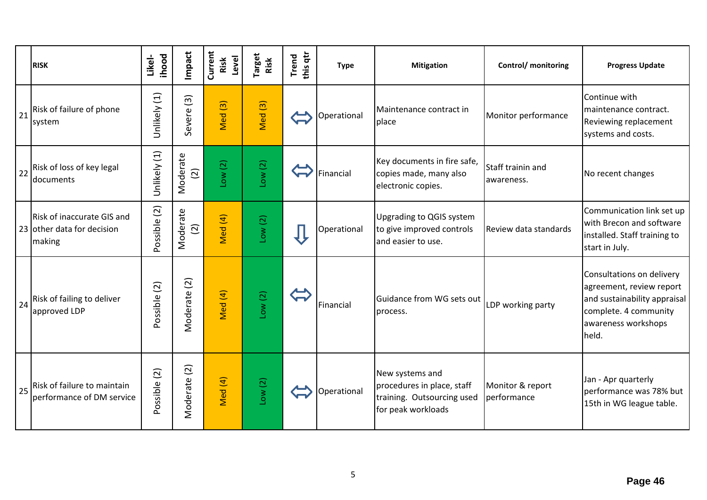|    | <b>RISK</b>                                                        | ihood<br>Likel- | Impact                     | Current<br>Level<br>Risk | Target<br>Risk     | this qtr<br><b>Trend</b> | <b>Type</b> | <b>Mitigation</b>                                                                                 | Control/ monitoring             | <b>Progress Update</b>                                                                                                                         |
|----|--------------------------------------------------------------------|-----------------|----------------------------|--------------------------|--------------------|--------------------------|-------------|---------------------------------------------------------------------------------------------------|---------------------------------|------------------------------------------------------------------------------------------------------------------------------------------------|
| 21 | Risk of failure of phone<br>system                                 | Unlikely (1)    | $\widehat{3}$<br>Severe    | $\widehat{S}$<br>Med     | Med <sup>(3)</sup> |                          | Operational | Maintenance contract in<br>place                                                                  | Monitor performance             | Continue with<br>maintenance contract.<br>Reviewing replacement<br>systems and costs.                                                          |
|    | 22 Risk of loss of key legal<br>documents                          | Unlikely (1)    | Moderate<br>$\widehat{c}$  | Low(2)                   | Low(2)             |                          | Financial   | Key documents in fire safe,<br>copies made, many also<br>electronic copies.                       | Staff trainin and<br>awareness. | No recent changes                                                                                                                              |
|    | Risk of inaccurate GIS and<br>23 other data for decision<br>making | Possible (2)    | Moderate<br>$\overline{2}$ | Med (4)                  | Low(2)             |                          | Operational | <b>Upgrading to QGIS system</b><br>to give improved controls<br>and easier to use.                | Review data standards           | Communication link set up<br>with Brecon and software<br>installed. Staff training to<br>start in July.                                        |
| 24 | Risk of failing to deliver<br>approved LDP                         | Possible (2)    | Moderate (2)               | Med (4)                  | Low(2)             |                          | Financial   | Guidance from WG sets out<br>process.                                                             | LDP working party               | Consultations on delivery<br>agreement, review report<br>and sustainability appraisal<br>complete. 4 community<br>awareness workshops<br>held. |
|    | 25 Risk of failure to maintain<br>performance of DM service        | Possible (2)    | $\overline{c}$<br>Moderate | Med (4)                  | Low(2)             |                          | Operational | New systems and<br>procedures in place, staff<br>training. Outsourcing used<br>for peak workloads | Monitor & report<br>performance | Jan - Apr quarterly<br>performance was 78% but<br>15th in WG league table.                                                                     |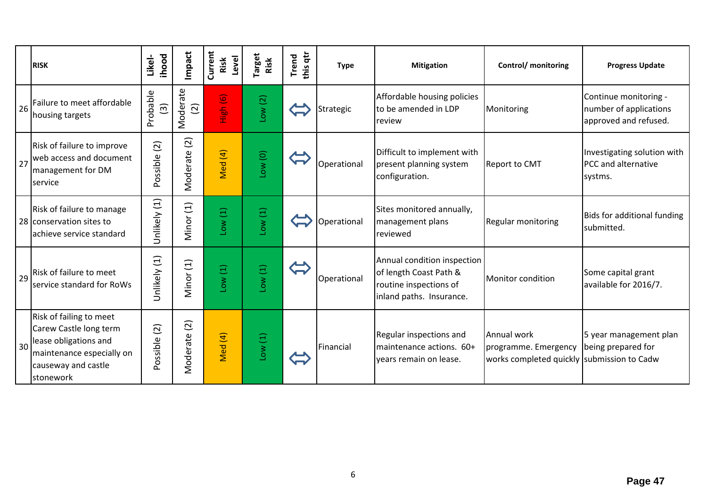|    | <b>RISK</b>                                                                                                                                 | ihood<br>Likel-            | Impact                      | Current<br>Level<br>Risk | <b>Target</b><br>Risk | this qtr<br><b>Trend</b> | <b>Type</b> | <b>Mitigation</b>                                                                                           | Control/ monitoring                                                               | <b>Progress Update</b>                                                   |
|----|---------------------------------------------------------------------------------------------------------------------------------------------|----------------------------|-----------------------------|--------------------------|-----------------------|--------------------------|-------------|-------------------------------------------------------------------------------------------------------------|-----------------------------------------------------------------------------------|--------------------------------------------------------------------------|
| 26 | Failure to meet affordable<br>housing targets                                                                                               | Probable<br>$\widehat{3}$  | Moderate<br>$\overline{2}$  | High (6)                 | Low(2)                |                          | Strategic   | Affordable housing policies<br>to be amended in LDP<br>review                                               | Monitoring                                                                        | Continue monitoring -<br>number of applications<br>approved and refused. |
| 27 | Risk of failure to improve<br>web access and document<br>management for DM<br>service                                                       | $\overline{2}$<br>Possible | $\widetilde{c}$<br>Moderate | Med (4)                  | Low(0)                |                          | Operational | Difficult to implement with<br>present planning system<br>configuration.                                    | <b>Report to CMT</b>                                                              | Investigating solution with<br>PCC and alternative<br>systms.            |
|    | Risk of failure to manage<br>28 conservation sites to<br>achieve service standard                                                           | Unlikely (1)               | Minor (1)                   | Low(1)                   | Low(1)                |                          | Operational | Sites monitored annually,<br>management plans<br>reviewed                                                   | <b>Regular monitoring</b>                                                         | Bids for additional funding<br>submitted.                                |
| 29 | Risk of failure to meet<br>service standard for RoWs                                                                                        | Unlikely (1)               | Minor (1)                   | Low(1)                   | Low(1)                |                          | Operational | Annual condition inspection<br>of length Coast Path &<br>routine inspections of<br>inland paths. Insurance. | Monitor condition                                                                 | Some capital grant<br>available for 2016/7.                              |
| 30 | Risk of failing to meet<br>Carew Castle long term<br>lease obligations and<br>maintenance especially on<br>causeway and castle<br>stonework | (2)<br>Possible            | $\overline{c}$<br>Moderate  | Med (4)                  | Low(1)                |                          | Financial   | Regular inspections and<br>maintenance actions. 60+<br>years remain on lease.                               | Annual work<br>programme. Emergency<br>works completed quickly submission to Cadw | 5 year management plan<br>being prepared for                             |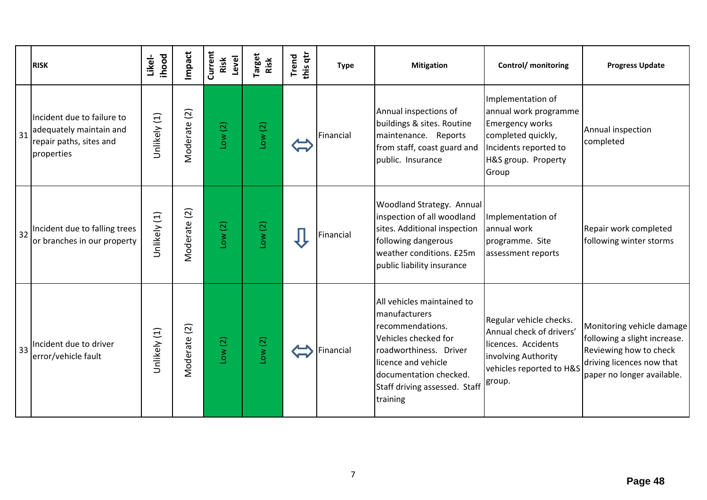|    | <b>RISK</b>                                                                                    | ihood<br>Likel- | Impact                     | Current<br>Level<br>Risk | <sup>r</sup> arget<br>Risk | this qtr<br><b>Trend</b> | <b>Type</b> | <b>Mitigation</b>                                                                                                                                                                                               | Control/ monitoring                                                                                                                                 | <b>Progress Update</b>                                                                                                                         |
|----|------------------------------------------------------------------------------------------------|-----------------|----------------------------|--------------------------|----------------------------|--------------------------|-------------|-----------------------------------------------------------------------------------------------------------------------------------------------------------------------------------------------------------------|-----------------------------------------------------------------------------------------------------------------------------------------------------|------------------------------------------------------------------------------------------------------------------------------------------------|
| 31 | Incident due to failure to<br>adequately maintain and<br>repair paths, sites and<br>properties | Unlikely (1)    | $\overline{c}$<br>Moderate | Low(2)                   | Low(2)                     |                          | Financial   | Annual inspections of<br>buildings & sites. Routine<br>maintenance. Reports<br>from staff, coast guard and<br>public. Insurance                                                                                 | Implementation of<br>annual work programme<br><b>Emergency works</b><br>completed quickly,<br>Incidents reported to<br>H&S group. Property<br>Group | Annual inspection<br>completed                                                                                                                 |
| 32 | Incident due to falling trees<br>or branches in our property                                   | Unlikely (1)    | Vloderate (2)              | Low(2)                   | Low(2)                     |                          | Financial   | <b>Woodland Strategy. Annual</b><br>inspection of all woodland<br>sites. Additional inspection<br>following dangerous<br>weather conditions. £25m<br>public liability insurance                                 | Implementation of<br>annual work<br>programme. Site<br>assessment reports                                                                           | Repair work completed<br>following winter storms                                                                                               |
| 33 | Incident due to driver<br>error/vehicle fault                                                  | Unlikely (1)    | Moderate (2)               | Low(2)                   | Low(2)                     |                          | Financial   | All vehicles maintained to<br>manufacturers<br>recommendations.<br>Vehicles checked for<br>roadworthiness. Driver<br>licence and vehicle<br>documentation checked.<br>Staff driving assessed. Staff<br>training | Regular vehicle checks.<br>Annual check of drivers'<br>licences. Accidents<br>involving Authority<br>vehicles reported to H&S<br>group.             | Monitoring vehicle damage<br>following a slight increase.<br>Reviewing how to check<br>driving licences now that<br>paper no longer available. |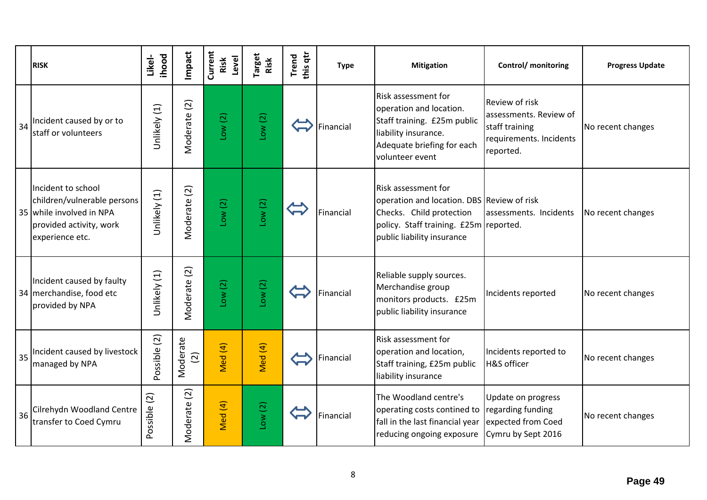|    | <b>RISK</b>                                                                                                                 | ihood<br>Likel-             | Impact                     | Current<br>Risk<br>Level | Target<br>Risk | this qtr<br><b>Trend</b> | <b>Type</b> | <b>Mitigation</b>                                                                                                                                                     | Control/ monitoring                                                                                       | <b>Progress Update</b> |
|----|-----------------------------------------------------------------------------------------------------------------------------|-----------------------------|----------------------------|--------------------------|----------------|--------------------------|-------------|-----------------------------------------------------------------------------------------------------------------------------------------------------------------------|-----------------------------------------------------------------------------------------------------------|------------------------|
| 34 | Incident caused by or to<br>staff or volunteers                                                                             | Unlikely (1)                | Moderate (2)               | Low(2)                   | Low(2)         |                          | Financial   | Risk assessment for<br>operation and location.<br>Staff training. £25m public<br>liability insurance.<br>Adequate briefing for each<br>volunteer event                | <b>Review of risk</b><br>assessments. Review of<br>staff training<br>requirements. Incidents<br>reported. | No recent changes      |
|    | Incident to school<br>children/vulnerable persons<br>35 while involved in NPA<br>provided activity, work<br>experience etc. | Unlikely (1)                | Moderate (2)               | Low(2)                   | Low(2)         |                          | Financial   | Risk assessment for<br>operation and location. DBS Review of risk<br>Checks. Child protection<br>policy. Staff training. £25m reported.<br>public liability insurance | assessments. Incidents                                                                                    | No recent changes      |
|    | Incident caused by faulty<br>34 merchandise, food etc<br>provided by NPA                                                    | Unlikely (1)                | Moderate (2)               | Low(2)                   | Low(2)         |                          | Financial   | Reliable supply sources.<br>Merchandise group<br>monitors products. £25m<br>public liability insurance                                                                | Incidents reported                                                                                        | No recent changes      |
| 35 | Incident caused by livestock<br>managed by NPA                                                                              | Possible (2)                | Moderate<br>$\overline{c}$ | Med (4)                  | Med (4)        |                          | Financial   | <b>Risk assessment for</b><br>operation and location,<br>Staff training, £25m public<br>liability insurance                                                           | Incidents reported to<br><b>H&amp;S</b> officer                                                           | No recent changes      |
| 36 | Cilrehydn Woodland Centre<br>transfer to Coed Cymru                                                                         | $\widetilde{c}$<br>Possible | $\overline{c}$<br>Moderate | Med (4)                  | Low(2)         |                          | Financial   | The Woodland centre's<br>operating costs contined to regarding funding<br>fall in the last financial year<br>reducing ongoing exposure                                | Update on progress<br>expected from Coed<br>Cymru by Sept 2016                                            | No recent changes      |